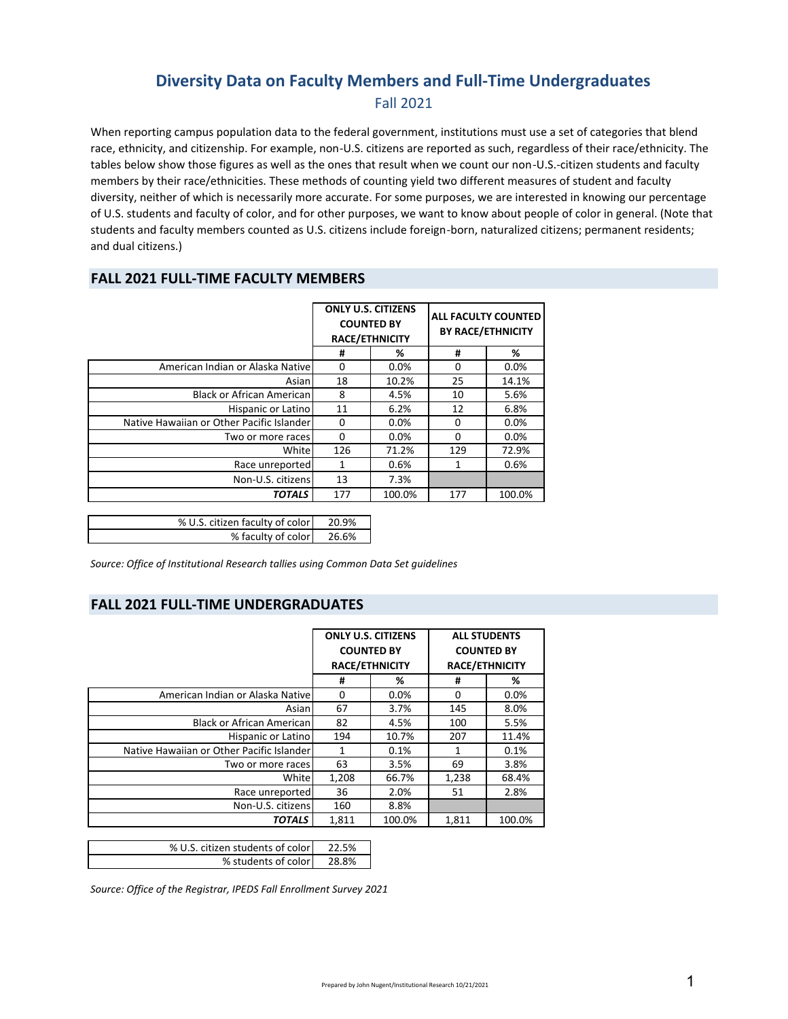## **Diversity Data on Faculty Members and Full‐Time Undergraduates** Fall 2021

When reporting campus population data to the federal government, institutions must use a set of categories that blend race, ethnicity, and citizenship. For example, non‐U.S. citizens are reported as such, regardless of their race/ethnicity. The tables below show those figures as well as the ones that result when we count our non-U.S.-citizen students and faculty members by their race/ethnicities. These methods of counting yield two different measures of student and faculty diversity, neither of which is necessarily more accurate. For some purposes, we are interested in knowing our percentage of U.S. students and faculty of color, and for other purposes, we want to know about people of color in general. (Note that students and faculty members counted as U.S. citizens include foreign-born, naturalized citizens; permanent residents; and dual citizens.)

#### **FALL 2021 FULL‐TIME FACULTY MEMBERS**

|                                           | <b>ONLY U.S. CITIZENS</b><br><b>COUNTED BY</b><br><b>RACE/ETHNICITY</b> |         | <b>ALL FACULTY COUNTED</b><br><b>BY RACE/ETHNICITY</b> |        |
|-------------------------------------------|-------------------------------------------------------------------------|---------|--------------------------------------------------------|--------|
|                                           | #                                                                       | %       | #                                                      | %      |
| American Indian or Alaska Native          | 0                                                                       | $0.0\%$ | <sup>0</sup>                                           | 0.0%   |
| Asian                                     | 18                                                                      | 10.2%   | 25                                                     | 14.1%  |
| <b>Black or African American</b>          | 8                                                                       | 4.5%    | 10                                                     | 5.6%   |
| Hispanic or Latino                        | 11                                                                      | 6.2%    | 12                                                     | 6.8%   |
| Native Hawaiian or Other Pacific Islander | 0                                                                       | 0.0%    | $\Omega$                                               | 0.0%   |
| Two or more races                         | 0                                                                       | $0.0\%$ | $\Omega$                                               | 0.0%   |
| White                                     | 126                                                                     | 71.2%   | 129                                                    | 72.9%  |
| Race unreported                           | 1                                                                       | 0.6%    | 1                                                      | 0.6%   |
| Non-U.S. citizens                         | 13                                                                      | 7.3%    |                                                        |        |
| <b>TOTALS</b>                             | 177                                                                     | 100.0%  | 177                                                    | 100.0% |
|                                           |                                                                         |         |                                                        |        |
| % U.S. citizen faculty of color           | 20.9%                                                                   |         |                                                        |        |

| % U.S. Citizen faculty of color   20.9% |       |
|-----------------------------------------|-------|
| % faculty of color                      | 26.6% |

*Source: Office of Institutional Research tallies using Common Data Set guidelines*

#### **FALL 2021 FULL‐TIME UNDERGRADUATES**

|                                           | <b>ONLY U.S. CITIZENS</b><br><b>COUNTED BY</b><br><b>RACE/ETHNICITY</b> |        | <b>ALL STUDENTS</b><br><b>COUNTED BY</b><br><b>RACE/ETHNICITY</b> |        |
|-------------------------------------------|-------------------------------------------------------------------------|--------|-------------------------------------------------------------------|--------|
|                                           |                                                                         |        |                                                                   |        |
|                                           | #                                                                       | %      | #                                                                 | %      |
| American Indian or Alaska Nativel         | 0                                                                       | 0.0%   | 0                                                                 | 0.0%   |
| Asian                                     | 67                                                                      | 3.7%   | 145                                                               | 8.0%   |
| <b>Black or African American</b>          | 82                                                                      | 4.5%   | 100                                                               | 5.5%   |
| Hispanic or Latino                        | 194                                                                     | 10.7%  | 207                                                               | 11.4%  |
| Native Hawaiian or Other Pacific Islander | 1                                                                       | 0.1%   | 1                                                                 | 0.1%   |
| Two or more races                         | 63                                                                      | 3.5%   | 69                                                                | 3.8%   |
| White                                     | 1,208                                                                   | 66.7%  | 1,238                                                             | 68.4%  |
| Race unreported                           | 36                                                                      | 2.0%   | 51                                                                | 2.8%   |
| Non-U.S. citizens                         | 160                                                                     | 8.8%   |                                                                   |        |
| <b>TOTALS</b>                             | 1,811                                                                   | 100.0% | 1,811                                                             | 100.0% |

| % U.S. citizen students of color | 22.5% |
|----------------------------------|-------|
| % students of color              | 28.8% |

*Source: Office of the Registrar, IPEDS Fall Enrollment Survey 2021*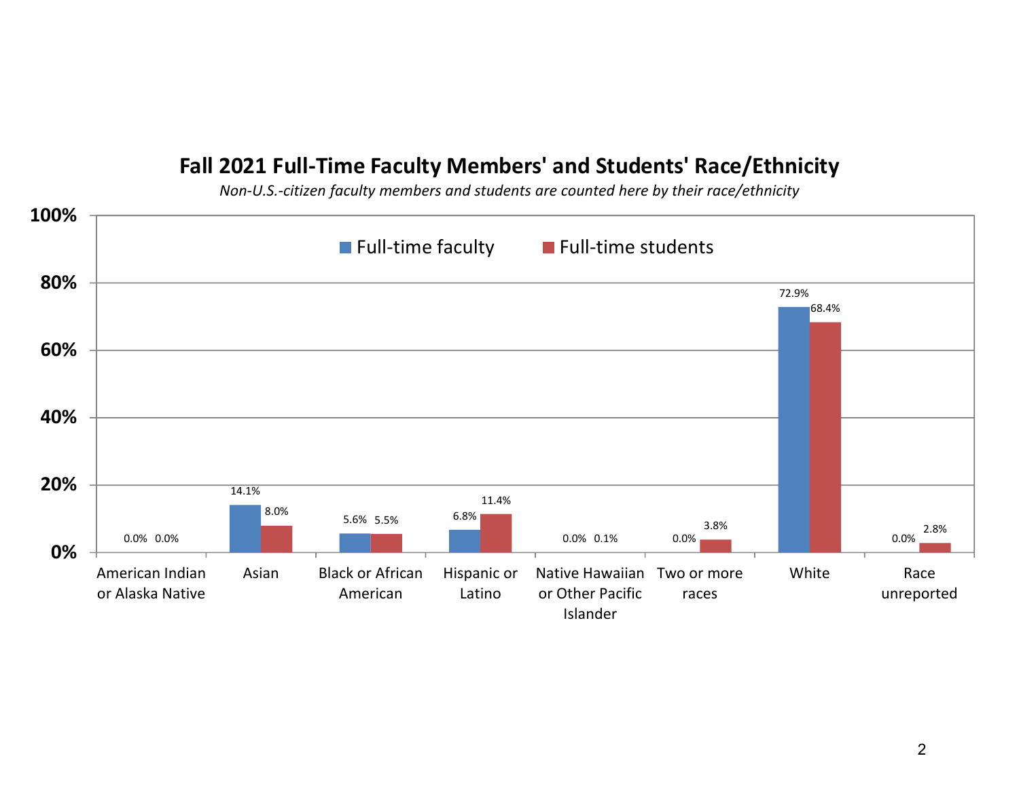## **Fall 2021 Full‐Time Faculty Members' and Students' Race/Ethnicity**

*Non‐U.S.‐citizen faculty members and students are counted here by their race/ethnicity*

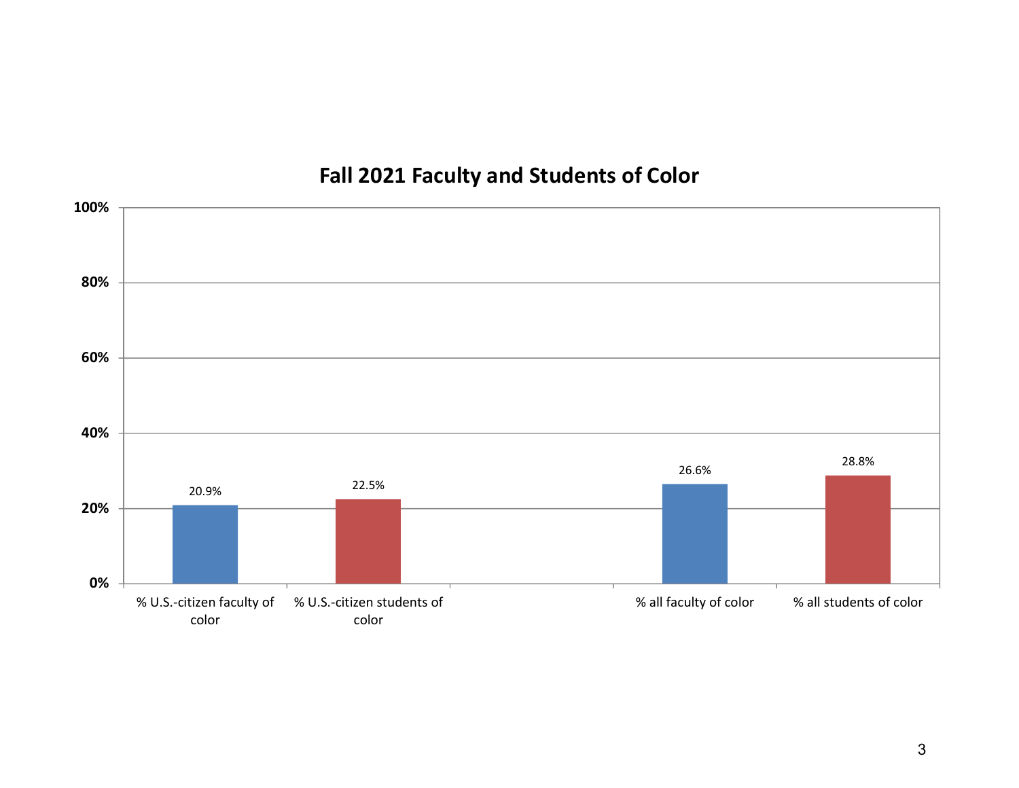# **Fall 2021 Faculty and Students of Color**

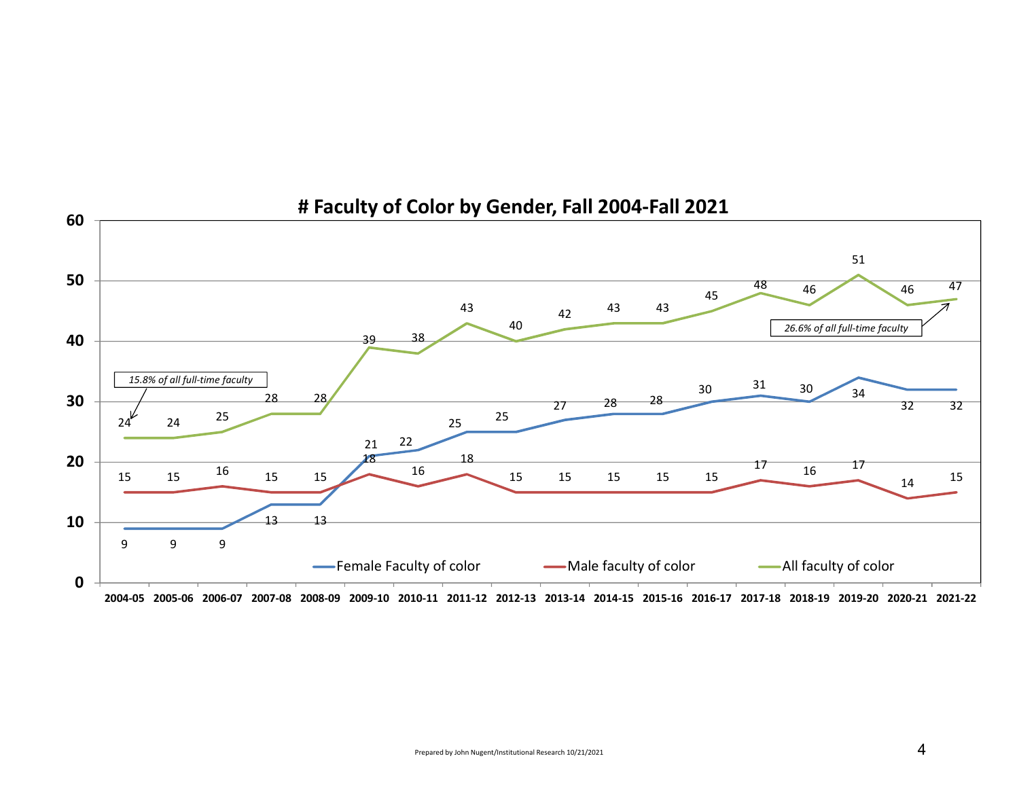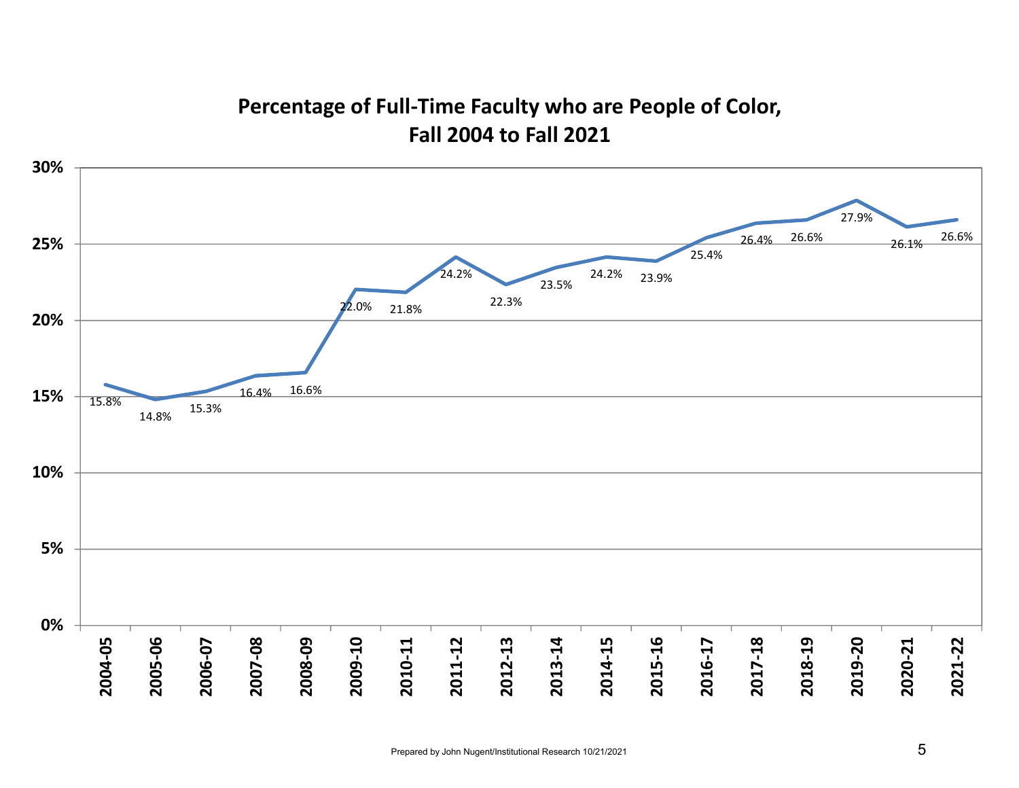# **Percentage of Full‐Time Faculty who are People of Color, Fall 2004 to Fall 2021**

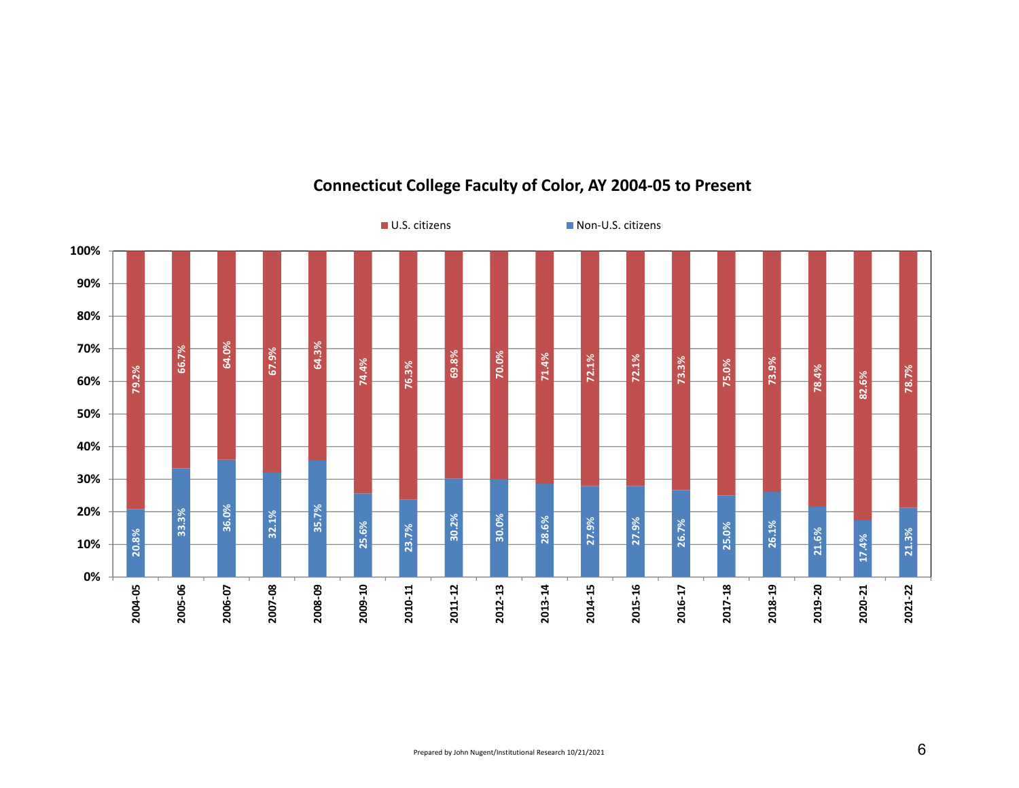

#### **Connecticut College Faculty of Color, AY 2004‐05 to Present**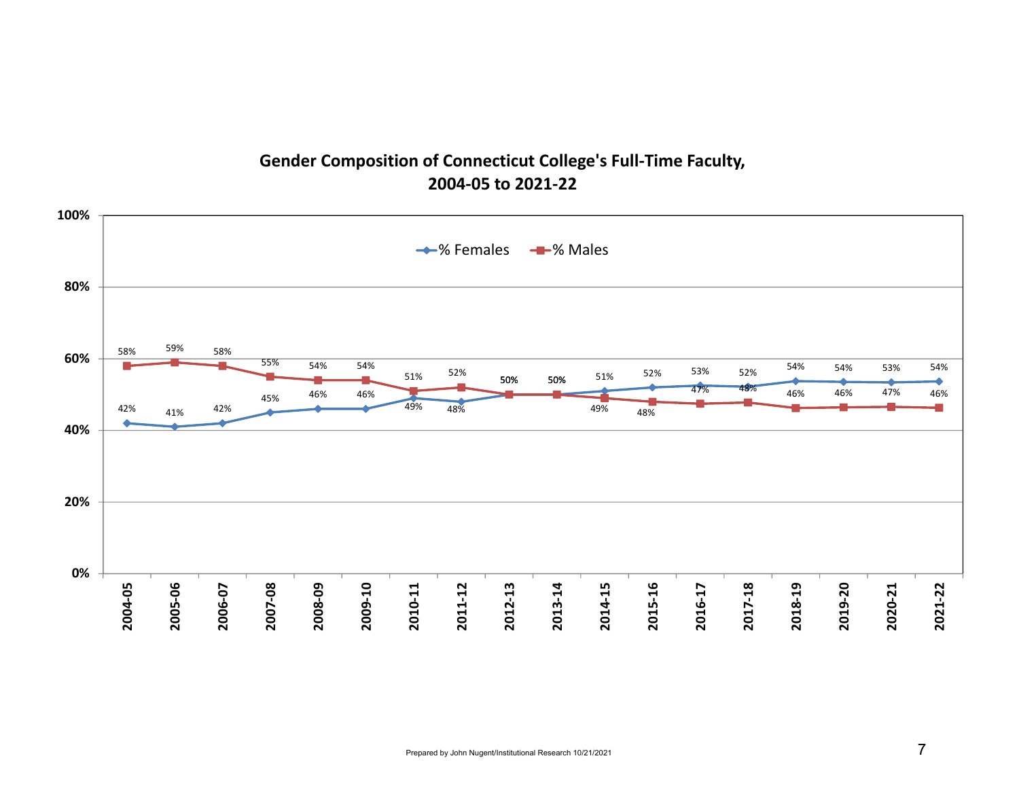## **Gender Composition of Connecticut College's Full‐Time Faculty, 2004‐05 to 2021‐22**

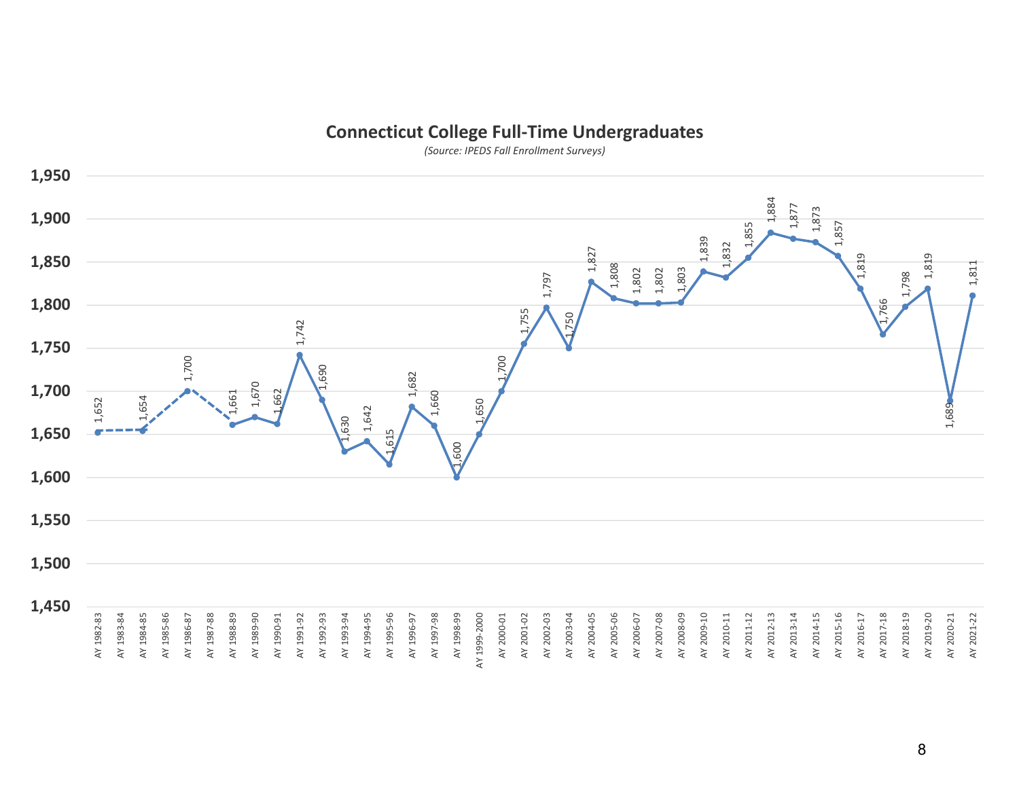### **Connecticut College Full‐Time Undergraduates**

*(Source: IPEDS Fall Enrollment Surveys)*

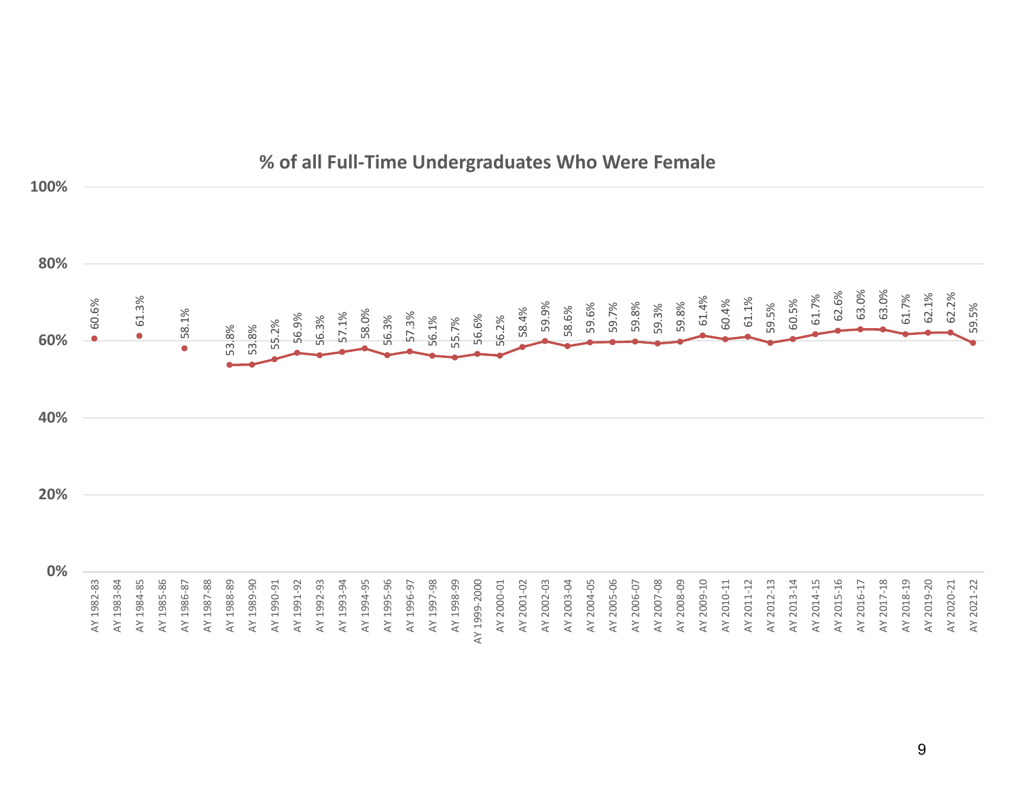

## **% of all Full‐Time Undergraduates Who Were Female**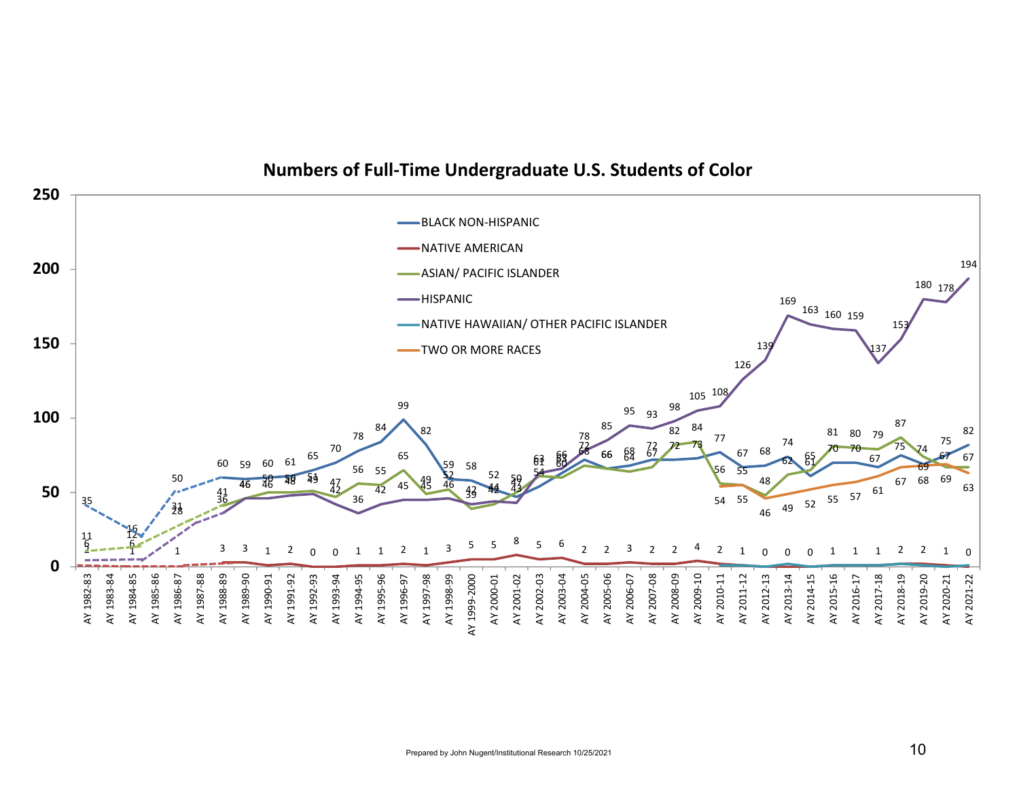

### **Numbers of Full‐Time Undergraduate U.S. Students of Color**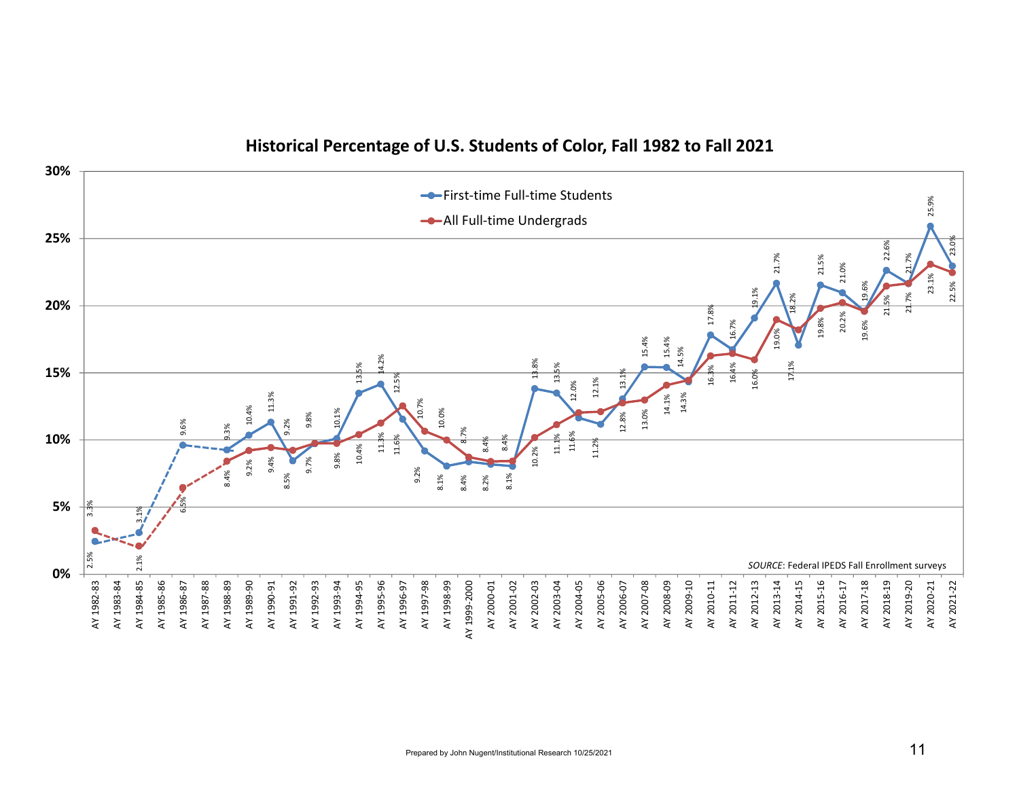

### **Historical Percentage of U.S. Students of Color, Fall 1982 to Fall 2021**